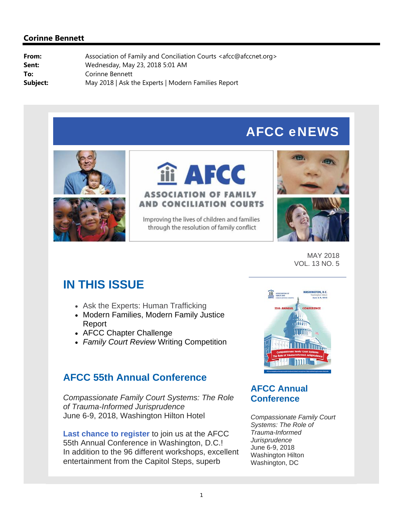# AFCC eNEWS





# iii AFCC **ASSOCIATION OF FAMILY AND CONCILIATION COURTS**

Improving the lives of children and families through the resolution of family conflict





MAY 2018 VOL. 13 NO. 5

# **IN THIS ISSUE**

- Ask the Experts: Human Trafficking
- Modern Families, Modern Family Justice Report
- AFCC Chapter Challenge
- *Family Court Review* Writing Competition

# **AFCC 55th Annual Conference**

*Compassionate Family Court Systems: The Role of Trauma-Informed Jurisprudence* June 6-9, 2018, Washington Hilton Hotel

**Last chance to register** to join us at the AFCC 55th Annual Conference in Washington, D.C.! In addition to the 96 different workshops, excellent entertainment from the Capitol Steps, superb



## **AFCC Annual Conference**

*Compassionate Family Court Systems: The Role of Trauma-Informed Jurisprudence* June 6-9, 2018 Washington Hilton Washington, DC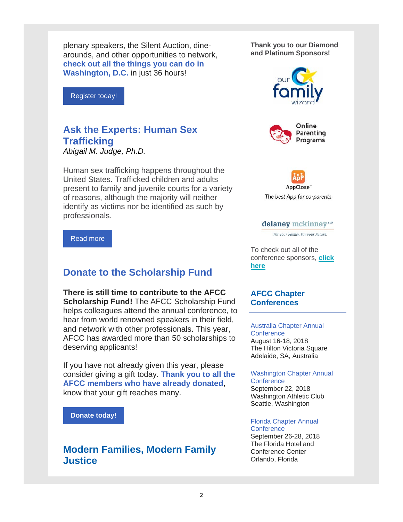plenary speakers, the Silent Auction, dinearounds, and other opportunities to network, **check out all the things you can do in Washington, D.C.** in just 36 hours!

Register today!

## **Ask the Experts: Human Sex Trafficking**

*Abigail M. Judge, Ph.D.*

Human sex trafficking happens throughout the United States. Trafficked children and adults present to family and juvenile courts for a variety of reasons, although the majority will neither identify as victims nor be identified as such by professionals.

#### Read more

### **Donate to the Scholarship Fund**

**There is still time to contribute to the AFCC Scholarship Fund!** The AFCC Scholarship Fund helps colleagues attend the annual conference, to hear from world renowned speakers in their field, and network with other professionals. This year, AFCC has awarded more than 50 scholarships to deserving applicants!

If you have not already given this year, please consider giving a gift today. **Thank you to all the AFCC members who have already donated**, know that your gift reaches many.

**Donate today!**

## **Modern Families, Modern Family Justice**

**Thank you to our Diamond and Platinum Sponsors!**







#### delaney mckinney<sup>LLP</sup>

For your Family, For your Future.

To check out all of the conference sponsors, **click here**

#### **AFCC Chapter Conferences**

Australia Chapter Annual **Conference** August 16-18, 2018 The Hilton Victoria Square Adelaide, SA, Australia

Washington Chapter Annual **Conference** September 22, 2018 Washington Athletic Club Seattle, Washington

#### Florida Chapter Annual **Conference**

September 26-28, 2018 The Florida Hotel and Conference Center Orlando, Florida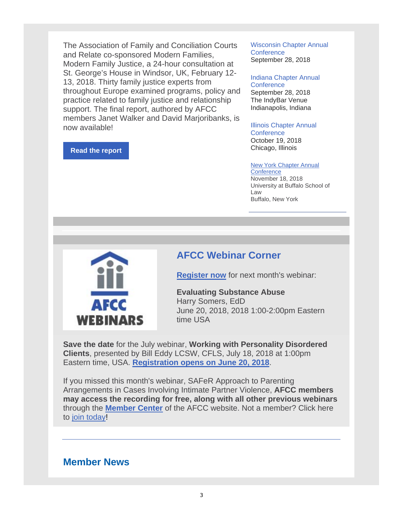The Association of Family and Conciliation Courts and Relate co-sponsored Modern Families, Modern Family Justice, a 24-hour consultation at St. George's House in Windsor, UK, February 12- 13, 2018. Thirty family justice experts from throughout Europe examined programs, policy and practice related to family justice and relationship support. The final report, authored by AFCC members Janet Walker and David Marjoribanks, is now available!

#### **Read the report**

Wisconsin Chapter Annual **Conference** September 28, 2018

Indiana Chapter Annual **Conference** September 28, 2018 The IndyBar Venue Indianapolis, Indiana

Illinois Chapter Annual **Conference** October 19, 2018 Chicago, Illinois

New York Chapter Annual

**Conference** November 18, 2018 University at Buffalo School of Law Buffalo, New York



### **AFCC Webinar Corner**

**Register now** for next month's webinar:

**Evaluating Substance Abuse** Harry Somers, EdD June 20, 2018, 2018 1:00-2:00pm Eastern time USA

**Save the date** for the July webinar, **Working with Personality Disordered Clients**, presented by Bill Eddy LCSW, CFLS, July 18, 2018 at 1:00pm Eastern time, USA. **Registration opens on June 20, 2018**.

If you missed this month's webinar, SAFeR Approach to Parenting Arrangements in Cases Involving Intimate Partner Violence, **AFCC members may access the recording for free, along with all other previous webinars** through the **Member Center** of the AFCC website. Not a member? Click here to join today!

### **Member News**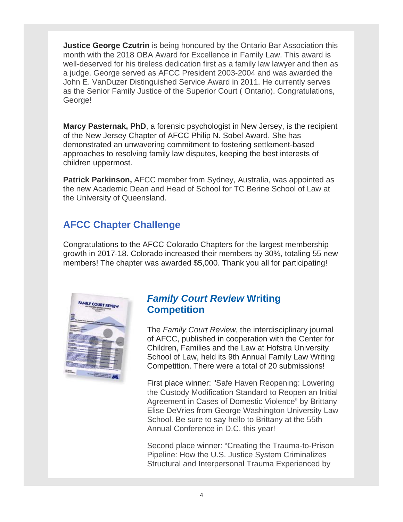**Justice George Czutrin** is being honoured by the Ontario Bar Association this month with the 2018 OBA Award for Excellence in Family Law. This award is well-deserved for his tireless dedication first as a family law lawyer and then as a judge. George served as AFCC President 2003-2004 and was awarded the John E. VanDuzer Distinguished Service Award in 2011. He currently serves as the Senior Family Justice of the Superior Court ( Ontario). Congratulations, George!

**Marcy Pasternak, PhD**, a forensic psychologist in New Jersey, is the recipient of the New Jersey Chapter of AFCC Philip N. Sobel Award. She has demonstrated an unwavering commitment to fostering settlement-based approaches to resolving family law disputes, keeping the best interests of children uppermost.

**Patrick Parkinson,** AFCC member from Sydney, Australia, was appointed as the new Academic Dean and Head of School for TC Berine School of Law at the University of Queensland.

## **AFCC Chapter Challenge**

Congratulations to the AFCC Colorado Chapters for the largest membership growth in 2017-18. Colorado increased their members by 30%, totaling 55 new members! The chapter was awarded \$5,000. Thank you all for participating!



## *Family Court Review* **Writing Competition**

The *Family Court Review*, the interdisciplinary journal of AFCC, published in cooperation with the Center for Children, Families and the Law at Hofstra University School of Law, held its 9th Annual Family Law Writing Competition. There were a total of 20 submissions!

First place winner: "Safe Haven Reopening: Lowering the Custody Modification Standard to Reopen an Initial Agreement in Cases of Domestic Violence" by Brittany Elise DeVries from George Washington University Law School. Be sure to say hello to Brittany at the 55th Annual Conference in D.C. this year!

Second place winner: "Creating the Trauma-to-Prison Pipeline: How the U.S. Justice System Criminalizes Structural and Interpersonal Trauma Experienced by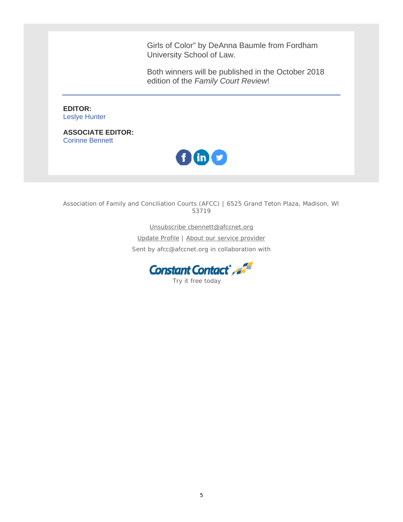Girls of Color" by DeAnna Baumle from Fordham University School of Law.

Both winners will be published in the October 2018 edition of the *Family Court Review*!

**EDITOR:** Leslye Hunter

**ASSOCIATE EDITOR:** Corinne Bennett



Association of Family and Conciliation Courts (AFCC) | 6525 Grand Teton Plaza, Madison, WI 53719

> Unsubscribe cbennett@afccnet.org Update Profile | About our service provider Sent by afcc@afccnet.org in collaboration with

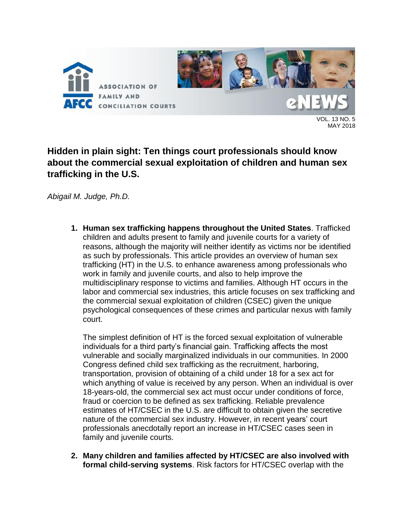

13 NO. 5 MAY 2018

## **Hidden in plain sight: Ten things court professionals should know about the commercial sexual exploitation of children and human sex trafficking in the U.S.**

*Abigail M. Judge, Ph.D.*

**1. Human sex trafficking happens throughout the United States**. Trafficked children and adults present to family and juvenile courts for a variety of reasons, although the majority will neither identify as victims nor be identified as such by professionals. This article provides an overview of human sex trafficking (HT) in the U.S. to enhance awareness among professionals who work in family and juvenile courts, and also to help improve the multidisciplinary response to victims and families. Although HT occurs in the labor and commercial sex industries, this article focuses on sex trafficking and the commercial sexual exploitation of children (CSEC) given the unique psychological consequences of these crimes and particular nexus with family court.

The simplest definition of HT is the forced sexual exploitation of vulnerable individuals for a third party's financial gain. Trafficking affects the most vulnerable and socially marginalized individuals in our communities. In 2000 Congress defined child sex trafficking as the recruitment, harboring, transportation, provision of obtaining of a child under 18 for a sex act for which anything of value is received by any person. When an individual is over 18-years-old, the commercial sex act must occur under conditions of force, fraud or coercion to be defined as sex trafficking. Reliable prevalence estimates of HT/CSEC in the U.S. are difficult to obtain given the secretive nature of the commercial sex industry. However, in recent years' court professionals anecdotally report an increase in HT/CSEC cases seen in family and juvenile courts.

**2. Many children and families affected by HT/CSEC are also involved with formal child-serving systems**. Risk factors for HT/CSEC overlap with the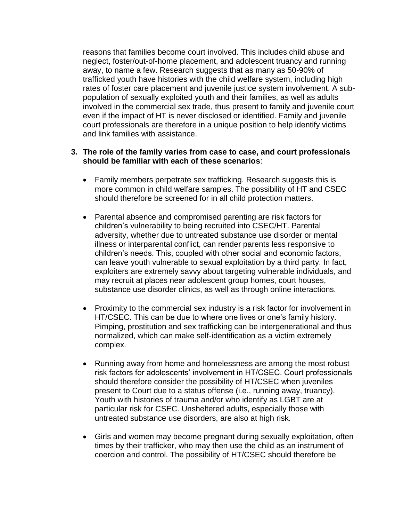reasons that families become court involved. This includes child abuse and neglect, foster/out-of-home placement, and adolescent truancy and running away, to name a few. Research suggests that as many as 50-90% of trafficked youth have histories with the child welfare system, including high rates of foster care placement and juvenile justice system involvement. A subpopulation of sexually exploited youth and their families, as well as adults involved in the commercial sex trade, thus present to family and juvenile court even if the impact of HT is never disclosed or identified. Family and juvenile court professionals are therefore in a unique position to help identify victims and link families with assistance.

#### **3. The role of the family varies from case to case, and court professionals should be familiar with each of these scenarios**:

- Family members perpetrate sex trafficking. Research suggests this is more common in child welfare samples. The possibility of HT and CSEC should therefore be screened for in all child protection matters.
- Parental absence and compromised parenting are risk factors for children's vulnerability to being recruited into CSEC/HT. Parental adversity, whether due to untreated substance use disorder or mental illness or interparental conflict, can render parents less responsive to children's needs. This, coupled with other social and economic factors, can leave youth vulnerable to sexual exploitation by a third party. In fact, exploiters are extremely savvy about targeting vulnerable individuals, and may recruit at places near adolescent group homes, court houses, substance use disorder clinics, as well as through online interactions.
- Proximity to the commercial sex industry is a risk factor for involvement in HT/CSEC. This can be due to where one lives or one's family history. Pimping, prostitution and sex trafficking can be intergenerational and thus normalized, which can make self-identification as a victim extremely complex.
- Running away from home and homelessness are among the most robust risk factors for adolescents' involvement in HT/CSEC. Court professionals should therefore consider the possibility of HT/CSEC when juveniles present to Court due to a status offense (i.e., running away, truancy). Youth with histories of trauma and/or who identify as LGBT are at particular risk for CSEC. Unsheltered adults, especially those with untreated substance use disorders, are also at high risk.
- Girls and women may become pregnant during sexually exploitation, often times by their trafficker, who may then use the child as an instrument of coercion and control. The possibility of HT/CSEC should therefore be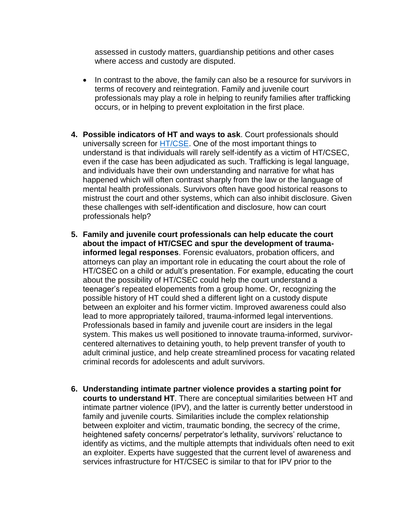assessed in custody matters, guardianship petitions and other cases where access and custody are disputed.

- In contrast to the above, the family can also be a resource for survivors in terms of recovery and reintegration. Family and juvenile court professionals may play a role in helping to reunify families after trafficking occurs, or in helping to prevent exploitation in the first place.
- **4. Possible indicators of HT and ways to ask**. Court professionals should universally screen for [HT/CSE.](http://www.ncsl.org/research/civil-and-criminal-justice/human-trafficking-enactment-database.aspx) One of the most important things to understand is that individuals will rarely self-identify as a victim of HT/CSEC, even if the case has been adjudicated as such. Trafficking is legal language, and individuals have their own understanding and narrative for what has happened which will often contrast sharply from the law or the language of mental health professionals. Survivors often have good historical reasons to mistrust the court and other systems, which can also inhibit disclosure. Given these challenges with self-identification and disclosure, how can court professionals help?
- **5. Family and juvenile court professionals can help educate the court about the impact of HT/CSEC and spur the development of traumainformed legal responses**. Forensic evaluators, probation officers, and attorneys can play an important role in educating the court about the role of HT/CSEC on a child or adult's presentation. For example, educating the court about the possibility of HT/CSEC could help the court understand a teenager's repeated elopements from a group home. Or, recognizing the possible history of HT could shed a different light on a custody dispute between an exploiter and his former victim. Improved awareness could also lead to more appropriately tailored, trauma-informed legal interventions. Professionals based in family and juvenile court are insiders in the legal system. This makes us well positioned to innovate trauma-informed, survivorcentered alternatives to detaining youth, to help prevent transfer of youth to adult criminal justice, and help create streamlined process for vacating related criminal records for adolescents and adult survivors.
- **6. Understanding intimate partner violence provides a starting point for courts to understand HT**. There are conceptual similarities between HT and intimate partner violence (IPV), and the latter is currently better understood in family and juvenile courts. Similarities include the complex relationship between exploiter and victim, traumatic bonding, the secrecy of the crime, heightened safety concerns/ perpetrator's lethality, survivors' reluctance to identify as victims, and the multiple attempts that individuals often need to exit an exploiter. Experts have suggested that the current level of awareness and services infrastructure for HT/CSEC is similar to that for IPV prior to the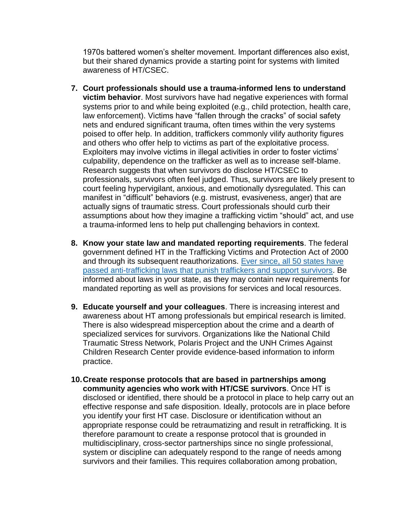1970s battered women's shelter movement. Important differences also exist, but their shared dynamics provide a starting point for systems with limited awareness of HT/CSEC.

- **7. Court professionals should use a trauma-informed lens to understand victim behavior**. Most survivors have had negative experiences with formal systems prior to and while being exploited (e.g., child protection, health care, law enforcement). Victims have "fallen through the cracks" of social safety nets and endured significant trauma, often times within the very systems poised to offer help. In addition, traffickers commonly vilify authority figures and others who offer help to victims as part of the exploitative process. Exploiters may involve victims in illegal activities in order to foster victims' culpability, dependence on the trafficker as well as to increase self-blame. Research suggests that when survivors do disclose HT/CSEC to professionals, survivors often feel judged. Thus, survivors are likely present to court feeling hypervigilant, anxious, and emotionally dysregulated. This can manifest in "difficult" behaviors (e.g. mistrust, evasiveness, anger) that are actually signs of traumatic stress. Court professionals should curb their assumptions about how they imagine a trafficking victim "should" act, and use a trauma-informed lens to help put challenging behaviors in context.
- **8. Know your state law and mandated reporting requirements**. The federal government defined HT in the Trafficking Victims and Protection Act of 2000 and through its subsequent reauthorizations. [Ever since, all 50 states have](http://www.ncsl.org/research/civil-and-criminal-justice/human-trafficking-enactment-database.aspx)  [passed anti-trafficking laws that punish traffickers and support survivors.](http://www.ncsl.org/research/civil-and-criminal-justice/human-trafficking-enactment-database.aspx) Be informed about laws in your state, as they may contain new requirements for mandated reporting as well as provisions for services and local resources.
- **9. Educate yourself and your colleagues**. There is increasing interest and awareness about HT among professionals but empirical research is limited. There is also widespread misperception about the crime and a dearth of specialized services for survivors. Organizations like the National Child Traumatic Stress Network, Polaris Project and the UNH Crimes Against Children Research Center provide evidence-based information to inform practice.
- **10.Create response protocols that are based in partnerships among community agencies who work with HT/CSE survivors**. Once HT is disclosed or identified, there should be a protocol in place to help carry out an effective response and safe disposition. Ideally, protocols are in place before you identify your first HT case. Disclosure or identification without an appropriate response could be retraumatizing and result in retrafficking. It is therefore paramount to create a response protocol that is grounded in multidisciplinary, cross-sector partnerships since no single professional, system or discipline can adequately respond to the range of needs among survivors and their families. This requires collaboration among probation,